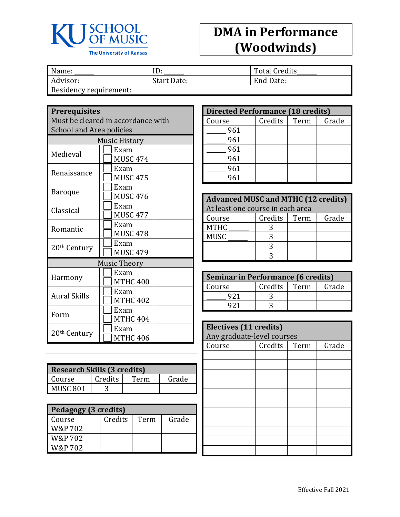

## **DMA in Performance (Woodwinds)**

| Name:                 | ⊥                  | <b>Total Credits</b> |
|-----------------------|--------------------|----------------------|
| Advisor:              | <b>Start Date:</b> | End Date:            |
| Docidancy roquiramont |                    |                      |

Residency requirement:

## **Prerequisites**

Must be cleared in accordance with School and Area policies

| <b>Music History</b>     |                     |  |  |
|--------------------------|---------------------|--|--|
| Medieval                 | Exam                |  |  |
|                          | MUSC 474            |  |  |
| Renaissance              | Exam                |  |  |
|                          | <b>MUSC 475</b>     |  |  |
| Baroque                  | Exam                |  |  |
|                          | <b>MUSC 476</b>     |  |  |
| Classical                | Exam                |  |  |
|                          | <b>MUSC 477</b>     |  |  |
| Romantic                 | Exam                |  |  |
|                          | <b>MUSC 478</b>     |  |  |
|                          | Exam                |  |  |
| 20 <sup>th</sup> Century | <b>MUSC 479</b>     |  |  |
|                          | <b>Music Theory</b> |  |  |
|                          | Exam                |  |  |
| Harmony                  | MTHC 400            |  |  |
| <b>Aural Skills</b>      | Exam                |  |  |
|                          | <b>MTHC 402</b>     |  |  |
|                          | Exam                |  |  |
| Form                     | <b>MTHC 404</b>     |  |  |
|                          | Exam                |  |  |
| 20th Century             | <b>MTHC 406</b>     |  |  |

| <b>Research Skills (3 credits)</b> |         |      |       |
|------------------------------------|---------|------|-------|
| Course                             | Credits | Term | Grade |
| MUSC <sub>801</sub>                |         |      |       |

| Pedagogy (3 credits) |         |      |       |
|----------------------|---------|------|-------|
| Course               | Credits | Term | Grade |
| W&P 702              |         |      |       |
| W&P 702              |         |      |       |
| W&P 702              |         |      |       |

| <b>Directed Performance (18 credits)</b> |         |      |       |  |
|------------------------------------------|---------|------|-------|--|
| Course                                   | Credits | Term | Grade |  |
| 961                                      |         |      |       |  |
| 961                                      |         |      |       |  |
| 961                                      |         |      |       |  |
| 961                                      |         |      |       |  |
| 961                                      |         |      |       |  |
| 961                                      |         |      |       |  |

| <b>Advanced MUSC and MTHC (12 credits)</b> |         |      |       |
|--------------------------------------------|---------|------|-------|
| At least one course in each area           |         |      |       |
| Course                                     | Credits | Term | Grade |
| <b>MTHC</b>                                |         |      |       |
| MUSC                                       |         |      |       |
|                                            |         |      |       |
|                                            |         |      |       |

| <b>Seminar in Performance (6 credits)</b> |         |      |       |
|-------------------------------------------|---------|------|-------|
| Course                                    | Credits | Term | Grade |
| 921                                       |         |      |       |
|                                           |         |      |       |

| Electives (11 credits)<br>Any graduate-level courses |         |      |       |  |
|------------------------------------------------------|---------|------|-------|--|
| Course                                               | Credits | Term | Grade |  |
|                                                      |         |      |       |  |
|                                                      |         |      |       |  |
|                                                      |         |      |       |  |
|                                                      |         |      |       |  |
|                                                      |         |      |       |  |
|                                                      |         |      |       |  |
|                                                      |         |      |       |  |
|                                                      |         |      |       |  |
|                                                      |         |      |       |  |
|                                                      |         |      |       |  |
|                                                      |         |      |       |  |